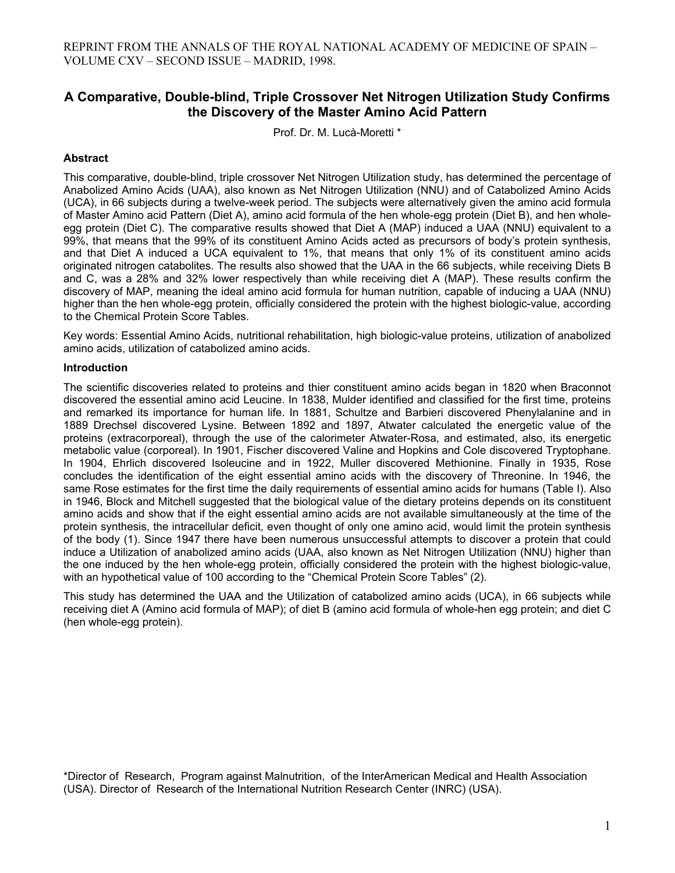# **A Comparative, Double-blind, Triple Crossover Net Nitrogen Utilization Study Confirms the Discovery of the Master Amino Acid Pattern**

Prof. Dr. M. Lucà-Moretti \*

# **Abstract**

This comparative, double-blind, triple crossover Net Nitrogen Utilization study, has determined the percentage of Anabolized Amino Acids (UAA), also known as Net Nitrogen Utilization (NNU) and of Catabolized Amino Acids (UCA), in 66 subjects during a twelve-week period. The subjects were alternatively given the amino acid formula of Master Amino acid Pattern (Diet A), amino acid formula of the hen whole-egg protein (Diet B), and hen wholeegg protein (Diet C). The comparative results showed that Diet A (MAP) induced a UAA (NNU) equivalent to a 99%, that means that the 99% of its constituent Amino Acids acted as precursors of body's protein synthesis, and that Diet A induced a UCA equivalent to 1%, that means that only 1% of its constituent amino acids originated nitrogen catabolites. The results also showed that the UAA in the 66 subjects, while receiving Diets B and C, was a 28% and 32% lower respectively than while receiving diet A (MAP). These results confirm the discovery of MAP, meaning the ideal amino acid formula for human nutrition, capable of inducing a UAA (NNU) higher than the hen whole-egg protein, officially considered the protein with the highest biologic-value, according to the Chemical Protein Score Tables.

Key words: Essential Amino Acids, nutritional rehabilitation, high biologic-value proteins, utilization of anabolized amino acids, utilization of catabolized amino acids.

#### **Introduction**

The scientific discoveries related to proteins and thier constituent amino acids began in 1820 when Braconnot discovered the essential amino acid Leucine. In 1838, Mulder identified and classified for the first time, proteins and remarked its importance for human life. In 1881, Schultze and Barbieri discovered Phenylalanine and in 1889 Drechsel discovered Lysine. Between 1892 and 1897, Atwater calculated the energetic value of the proteins (extracorporeal), through the use of the calorimeter Atwater-Rosa, and estimated, also, its energetic metabolic value (corporeal). In 1901, Fischer discovered Valine and Hopkins and Cole discovered Tryptophane. In 1904, Ehrlich discovered Isoleucine and in 1922, Muller discovered Methionine. Finally in 1935, Rose concludes the identification of the eight essential amino acids with the discovery of Threonine. In 1946, the same Rose estimates for the first time the daily requirements of essential amino acids for humans (Table I). Also in 1946, Block and Mitchell suggested that the biological value of the dietary proteins depends on its constituent amino acids and show that if the eight essential amino acids are not available simultaneously at the time of the protein synthesis, the intracellular deficit, even thought of only one amino acid, would limit the protein synthesis of the body (1). Since 1947 there have been numerous unsuccessful attempts to discover a protein that could induce a Utilization of anabolized amino acids (UAA, also known as Net Nitrogen Utilization (NNU) higher than the one induced by the hen whole-egg protein, officially considered the protein with the highest biologic-value, with an hypothetical value of 100 according to the "Chemical Protein Score Tables" (2).

This study has determined the UAA and the Utilization of catabolized amino acids (UCA), in 66 subjects while receiving diet A (Amino acid formula of MAP); of diet B (amino acid formula of whole-hen egg protein; and diet C (hen whole-egg protein).

\*Director of Research, Program against Malnutrition, of the InterAmerican Medical and Health Association (USA). Director of Research of the International Nutrition Research Center (INRC) (USA).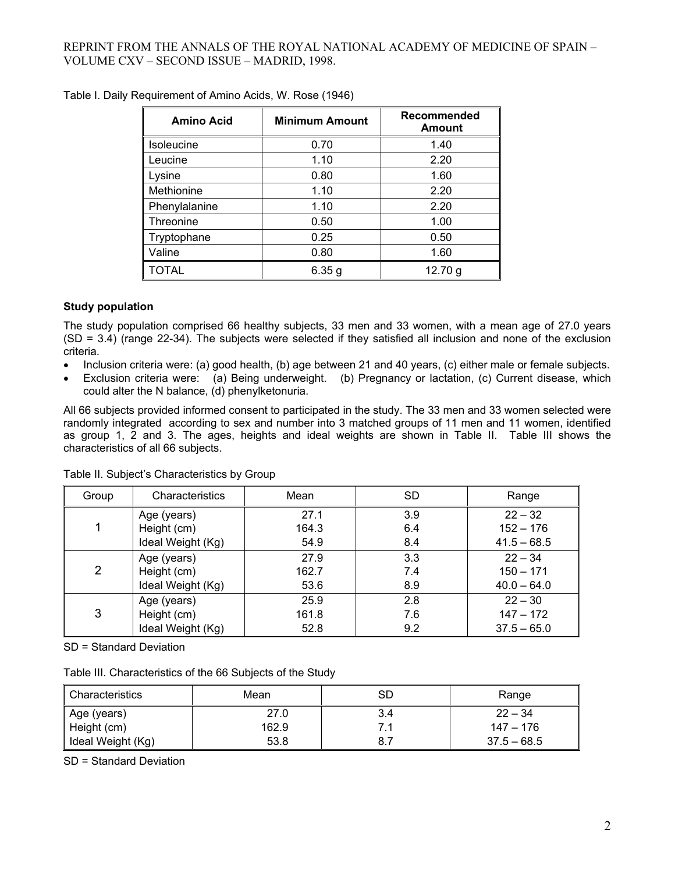| <b>Amino Acid</b> | <b>Minimum Amount</b> | Recommended<br>Amount |
|-------------------|-----------------------|-----------------------|
| <b>Isoleucine</b> | 0.70                  | 1.40                  |
| Leucine           | 1.10                  | 2.20                  |
| Lysine            | 0.80                  | 1.60                  |
| Methionine        | 1.10                  | 2.20                  |
| Phenylalanine     | 1.10                  | 2.20                  |
| Threonine         | 0.50                  | 1.00                  |
| Tryptophane       | 0.25                  | 0.50                  |
| Valine            | 0.80                  | 1.60                  |
| <b>TOTAL</b>      | 6.35g                 | 12.70 g               |

Table I. Daily Requirement of Amino Acids, W. Rose (1946)

# **Study population**

The study population comprised 66 healthy subjects, 33 men and 33 women, with a mean age of 27.0 years (SD = 3.4) (range 22-34). The subjects were selected if they satisfied all inclusion and none of the exclusion criteria.

- Inclusion criteria were: (a) good health, (b) age between 21 and 40 years, (c) either male or female subjects.
- Exclusion criteria were: (a) Being underweight. (b) Pregnancy or lactation, (c) Current disease, which could alter the N balance, (d) phenylketonuria.

All 66 subjects provided informed consent to participated in the study. The 33 men and 33 women selected were randomly integrated according to sex and number into 3 matched groups of 11 men and 11 women, identified as group 1, 2 and 3. The ages, heights and ideal weights are shown in Table II. Table III shows the characteristics of all 66 subjects.

| Group | Characteristics   | Mean  | <b>SD</b> | Range         |
|-------|-------------------|-------|-----------|---------------|
|       | Age (years)       | 27.1  | 3.9       | $22 - 32$     |
|       | Height (cm)       | 164.3 | 6.4       | $152 - 176$   |
|       | Ideal Weight (Kg) | 54.9  | 8.4       | $41.5 - 68.5$ |
| 2     | Age (years)       | 27.9  | 3.3       | $22 - 34$     |
|       | Height (cm)       | 162.7 | 7.4       | $150 - 171$   |
|       | Ideal Weight (Kg) | 53.6  | 8.9       | $40.0 - 64.0$ |
| 3     | Age (years)       | 25.9  | 2.8       | $22 - 30$     |
|       | Height (cm)       | 161.8 | 7.6       | $147 - 172$   |
|       | Ideal Weight (Kg) | 52.8  | 9.2       | $37.5 - 65.0$ |

Table II. Subject's Characteristics by Group

SD = Standard Deviation

Table III. Characteristics of the 66 Subjects of the Study

| Characteristics   | Mean  | SD  | Range         |
|-------------------|-------|-----|---------------|
| Age (years)       | 27.0  | 3.4 | $22 - 34$     |
| Height (cm)       | 162.9 | 7.1 | 147 – 176     |
| Ideal Weight (Kg) | 53.8  | 8.7 | $37.5 - 68.5$ |

SD = Standard Deviation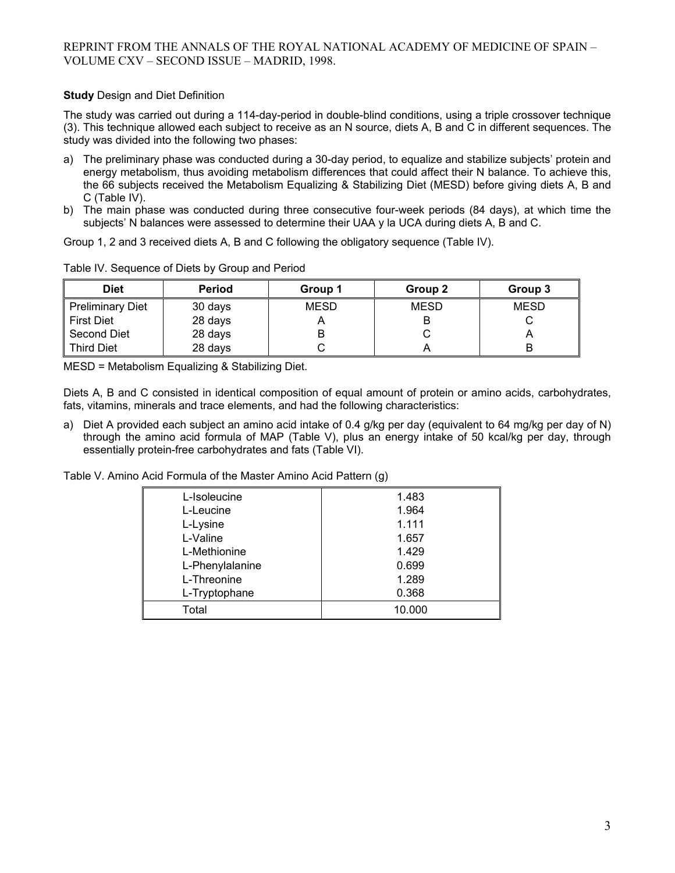# **Study** Design and Diet Definition

The study was carried out during a 114-day-period in double-blind conditions, using a triple crossover technique (3). This technique allowed each subject to receive as an N source, diets A, B and C in different sequences. The study was divided into the following two phases:

- a) The preliminary phase was conducted during a 30-day period, to equalize and stabilize subjects' protein and energy metabolism, thus avoiding metabolism differences that could affect their N balance. To achieve this, the 66 subjects received the Metabolism Equalizing & Stabilizing Diet (MESD) before giving diets A, B and C (Table IV).
- b) The main phase was conducted during three consecutive four-week periods (84 days), at which time the subjects' N balances were assessed to determine their UAA y la UCA during diets A, B and C.

Group 1, 2 and 3 received diets A, B and C following the obligatory sequence (Table IV).

| <b>Diet</b>             | <b>Period</b> | Group 1     | Group 2     | Group 3     |
|-------------------------|---------------|-------------|-------------|-------------|
| <b>Preliminary Diet</b> | 30 days       | <b>MESD</b> | <b>MESD</b> | <b>MESD</b> |
| First Diet              | 28 days       |             |             |             |
| Second Diet             | 28 days       |             | ັ           |             |
| <b>Third Diet</b>       | 28 days       |             |             |             |

Table IV. Sequence of Diets by Group and Period

MESD = Metabolism Equalizing & Stabilizing Diet.

Diets A, B and C consisted in identical composition of equal amount of protein or amino acids, carbohydrates, fats, vitamins, minerals and trace elements, and had the following characteristics:

a) Diet A provided each subject an amino acid intake of 0.4 g/kg per day (equivalent to 64 mg/kg per day of N) through the amino acid formula of MAP (Table V), plus an energy intake of 50 kcal/kg per day, through essentially protein-free carbohydrates and fats (Table VI).

Table V. Amino Acid Formula of the Master Amino Acid Pattern (g)

| L-Isoleucine    | 1.483  |
|-----------------|--------|
| L-Leucine       | 1.964  |
| L-Lysine        | 1.111  |
| L-Valine        | 1.657  |
| L-Methionine    | 1.429  |
| L-Phenylalanine | 0.699  |
| L-Threonine     | 1.289  |
| L-Tryptophane   | 0.368  |
| Total           | 10.000 |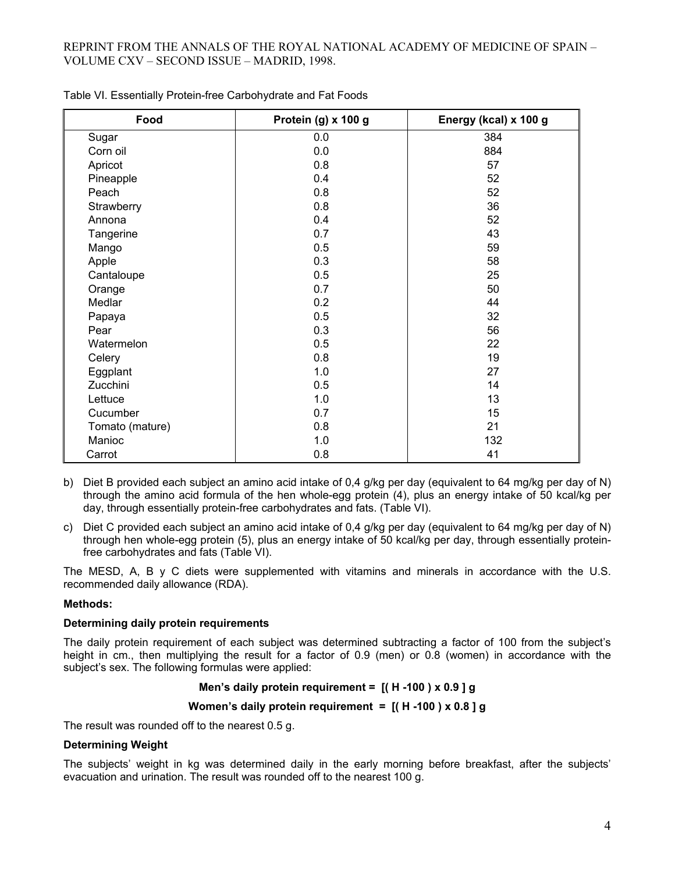| Food            | Protein (g) x 100 g | Energy (kcal) x 100 g |
|-----------------|---------------------|-----------------------|
| Sugar           | 0.0                 | 384                   |
| Corn oil        | 0.0                 | 884                   |
| Apricot         | 0.8                 | 57                    |
| Pineapple       | 0.4                 | 52                    |
| Peach           | 0.8                 | 52                    |
| Strawberry      | 0.8                 | 36                    |
| Annona          | 0.4                 | 52                    |
| Tangerine       | 0.7                 | 43                    |
| Mango           | 0.5                 | 59                    |
| Apple           | 0.3                 | 58                    |
| Cantaloupe      | 0.5                 | 25                    |
| Orange          | 0.7                 | 50                    |
| Medlar          | 0.2                 | 44                    |
| Papaya          | 0.5                 | 32                    |
| Pear            | 0.3                 | 56                    |
| Watermelon      | 0.5                 | 22                    |
| Celery          | 0.8                 | 19                    |
| Eggplant        | 1.0                 | 27                    |
| Zucchini        | 0.5                 | 14                    |
| Lettuce         | 1.0                 | 13                    |
| Cucumber        | 0.7                 | 15                    |
| Tomato (mature) | 0.8                 | 21                    |
| Manioc          | 1.0                 | 132                   |
| Carrot          | 0.8                 | 41                    |

Table VI. Essentially Protein-free Carbohydrate and Fat Foods

- b) Diet B provided each subject an amino acid intake of 0,4 g/kg per day (equivalent to 64 mg/kg per day of N) through the amino acid formula of the hen whole-egg protein (4), plus an energy intake of 50 kcal/kg per day, through essentially protein-free carbohydrates and fats. (Table VI).
- c) Diet C provided each subject an amino acid intake of 0,4 g/kg per day (equivalent to 64 mg/kg per day of N) through hen whole-egg protein (5), plus an energy intake of 50 kcal/kg per day, through essentially proteinfree carbohydrates and fats (Table VI).

The MESD, A, B y C diets were supplemented with vitamins and minerals in accordance with the U.S. recommended daily allowance (RDA).

# **Methods:**

#### **Determining daily protein requirements**

The daily protein requirement of each subject was determined subtracting a factor of 100 from the subject's height in cm., then multiplying the result for a factor of 0.9 (men) or 0.8 (women) in accordance with the subject's sex. The following formulas were applied:

#### **Men's daily protein requirement = [( H -100 ) x 0.9 ] g**

#### **Women's daily protein requirement = [( H -100 ) x 0.8 ] g**

The result was rounded off to the nearest 0.5 g.

#### **Determining Weight**

The subjects' weight in kg was determined daily in the early morning before breakfast, after the subjects' evacuation and urination. The result was rounded off to the nearest 100 g.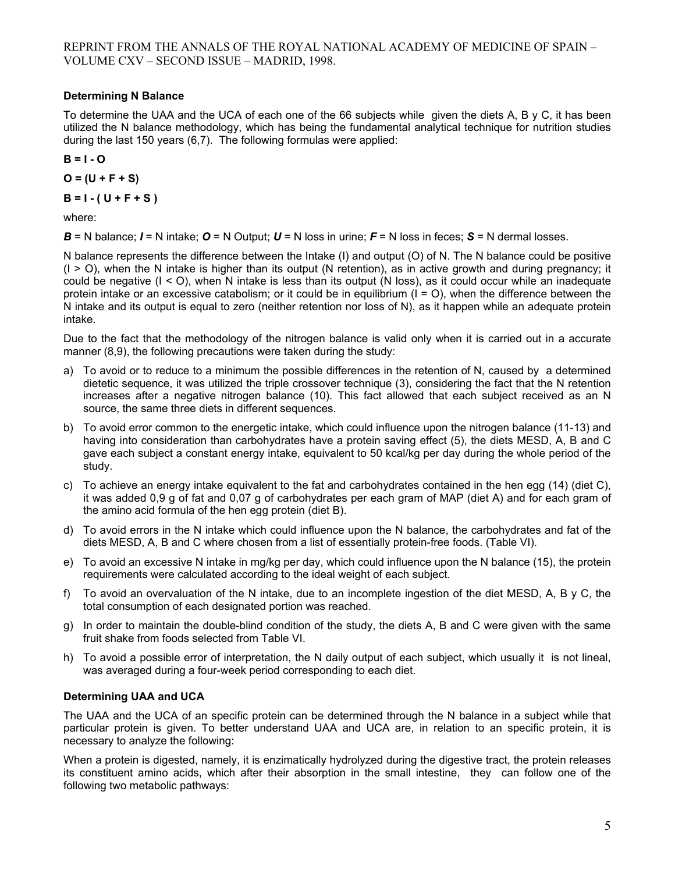# **Determining N Balance**

To determine the UAA and the UCA of each one of the 66 subjects while given the diets A, B y C, it has been utilized the N balance methodology, which has being the fundamental analytical technique for nutrition studies during the last 150 years (6,7). The following formulas were applied:

**B = I - O** 

**O = (U + F + S)**

**B = I - ( U + F + S )**

where:

 $B = N$  balance;  $I = N$  intake;  $O = N$  Output;  $U = N$  loss in urine;  $F = N$  loss in feces;  $S = N$  dermal losses.

N balance represents the difference between the Intake (I) and output (O) of N. The N balance could be positive  $(1 > 0)$ , when the N intake is higher than its output (N retention), as in active growth and during pregnancy; it could be negative (I < O), when N intake is less than its output (N loss), as it could occur while an inadequate protein intake or an excessive catabolism; or it could be in equilibrium  $(I = O)$ , when the difference between the N intake and its output is equal to zero (neither retention nor loss of N), as it happen while an adequate protein intake.

Due to the fact that the methodology of the nitrogen balance is valid only when it is carried out in a accurate manner (8,9), the following precautions were taken during the study:

- a) To avoid or to reduce to a minimum the possible differences in the retention of N, caused by a determined dietetic sequence, it was utilized the triple crossover technique (3), considering the fact that the N retention increases after a negative nitrogen balance (10). This fact allowed that each subject received as an N source, the same three diets in different sequences.
- b) To avoid error common to the energetic intake, which could influence upon the nitrogen balance (11-13) and having into consideration than carbohydrates have a protein saving effect (5), the diets MESD, A, B and C gave each subject a constant energy intake, equivalent to 50 kcal/kg per day during the whole period of the study.
- c) To achieve an energy intake equivalent to the fat and carbohydrates contained in the hen egg (14) (diet C), it was added 0,9 g of fat and 0,07 g of carbohydrates per each gram of MAP (diet A) and for each gram of the amino acid formula of the hen egg protein (diet B).
- d) To avoid errors in the N intake which could influence upon the N balance, the carbohydrates and fat of the diets MESD, A, B and C where chosen from a list of essentially protein-free foods. (Table VI).
- e) To avoid an excessive N intake in mg/kg per day, which could influence upon the N balance (15), the protein requirements were calculated according to the ideal weight of each subject.
- f) To avoid an overvaluation of the N intake, due to an incomplete ingestion of the diet MESD, A, B y C, the total consumption of each designated portion was reached.
- g) In order to maintain the double-blind condition of the study, the diets A, B and C were given with the same fruit shake from foods selected from Table VI.
- h) To avoid a possible error of interpretation, the N daily output of each subject, which usually it is not lineal, was averaged during a four-week period corresponding to each diet.

# **Determining UAA and UCA**

The UAA and the UCA of an specific protein can be determined through the N balance in a subject while that particular protein is given. To better understand UAA and UCA are, in relation to an specific protein, it is necessary to analyze the following:

When a protein is digested, namely, it is enzimatically hydrolyzed during the digestive tract, the protein releases its constituent amino acids, which after their absorption in the small intestine, they can follow one of the following two metabolic pathways: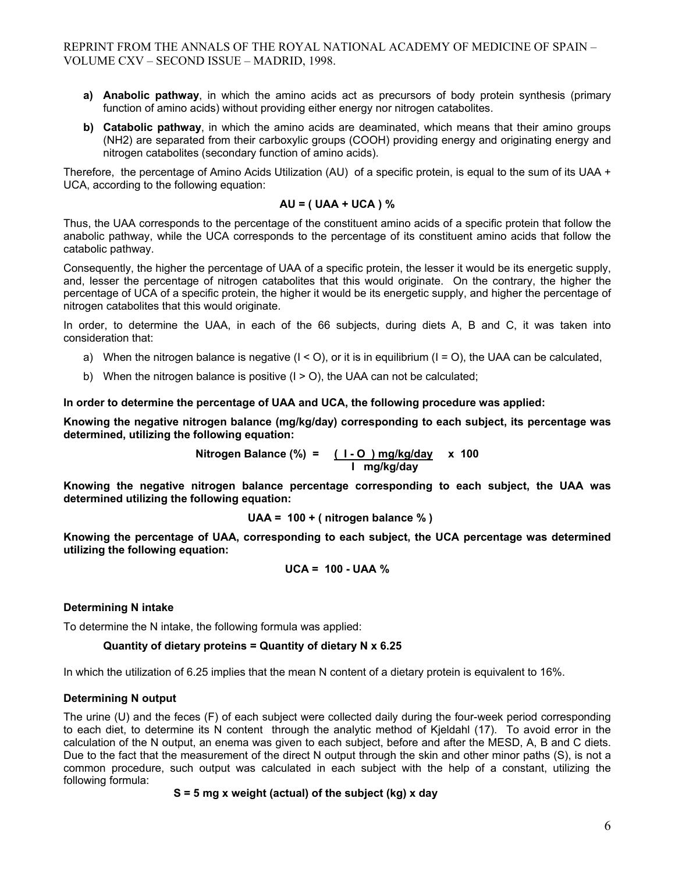- **a) Anabolic pathway**, in which the amino acids act as precursors of body protein synthesis (primary function of amino acids) without providing either energy nor nitrogen catabolites.
- **b) Catabolic pathway**, in which the amino acids are deaminated, which means that their amino groups (NH2) are separated from their carboxylic groups (COOH) providing energy and originating energy and nitrogen catabolites (secondary function of amino acids).

Therefore, the percentage of Amino Acids Utilization (AU) of a specific protein, is equal to the sum of its UAA + UCA, according to the following equation:

#### **AU = ( UAA + UCA ) %**

Thus, the UAA corresponds to the percentage of the constituent amino acids of a specific protein that follow the anabolic pathway, while the UCA corresponds to the percentage of its constituent amino acids that follow the catabolic pathway.

Consequently, the higher the percentage of UAA of a specific protein, the lesser it would be its energetic supply, and, lesser the percentage of nitrogen catabolites that this would originate. On the contrary, the higher the percentage of UCA of a specific protein, the higher it would be its energetic supply, and higher the percentage of nitrogen catabolites that this would originate.

In order, to determine the UAA, in each of the 66 subjects, during diets A, B and C, it was taken into consideration that:

- a) When the nitrogen balance is negative  $(I < O)$ , or it is in equilibrium  $(I = O)$ , the UAA can be calculated,
- b) When the nitrogen balance is positive  $(I > 0)$ , the UAA can not be calculated;

**In order to determine the percentage of UAA and UCA, the following procedure was applied:** 

**Knowing the negative nitrogen balance (mg/kg/day) corresponding to each subject, its percentage was determined, utilizing the following equation:** 

> **Nitrogen Balance (%) = ( I - O ) mg/kg/day x 100 I mg/kg/day**

**Knowing the negative nitrogen balance percentage corresponding to each subject, the UAA was determined utilizing the following equation:** 

$$
UAA = 100 + (nitrogen balance %)
$$

**Knowing the percentage of UAA, corresponding to each subject, the UCA percentage was determined utilizing the following equation:** 

$$
UCA = 100 - UAA %
$$

# **Determining N intake**

To determine the N intake, the following formula was applied:

# **Quantity of dietary proteins = Quantity of dietary N x 6.25**

In which the utilization of 6.25 implies that the mean N content of a dietary protein is equivalent to 16%.

# **Determining N output**

The urine (U) and the feces (F) of each subject were collected daily during the four-week period corresponding to each diet, to determine its N content through the analytic method of Kjeldahl (17). To avoid error in the calculation of the N output, an enema was given to each subject, before and after the MESD, A, B and C diets. Due to the fact that the measurement of the direct N output through the skin and other minor paths (S), is not a common procedure, such output was calculated in each subject with the help of a constant, utilizing the following formula:

**S = 5 mg x weight (actual) of the subject (kg) x day**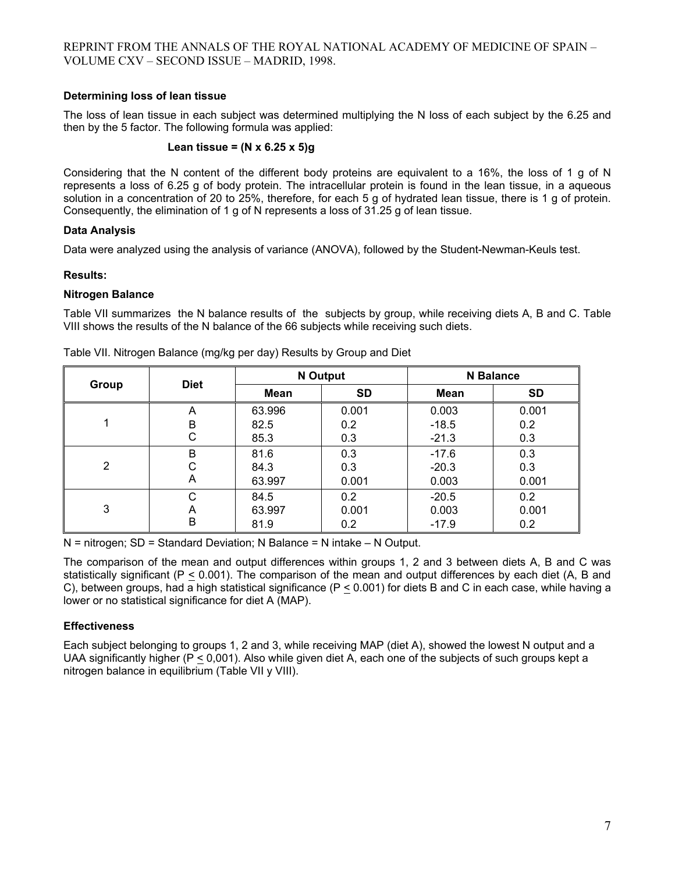# **Determining loss of lean tissue**

The loss of lean tissue in each subject was determined multiplying the N loss of each subject by the 6.25 and then by the 5 factor. The following formula was applied:

#### **Lean tissue = (N x 6.25 x 5)g**

Considering that the N content of the different body proteins are equivalent to a 16%, the loss of 1 g of N represents a loss of 6.25 g of body protein. The intracellular protein is found in the lean tissue, in a aqueous solution in a concentration of 20 to 25%, therefore, for each 5 g of hydrated lean tissue, there is 1 g of protein. Consequently, the elimination of 1 g of N represents a loss of 31.25 g of lean tissue.

# **Data Analysis**

Data were analyzed using the analysis of variance (ANOVA), followed by the Student-Newman-Keuls test.

# **Results:**

# **Nitrogen Balance**

Table VII summarizes the N balance results of the subjects by group, while receiving diets A, B and C. Table VIII shows the results of the N balance of the 66 subjects while receiving such diets.

|                |             |        | <b>N</b> Output |         | N Balance |  |
|----------------|-------------|--------|-----------------|---------|-----------|--|
| Group          | <b>Diet</b> | Mean   | <b>SD</b>       | Mean    | <b>SD</b> |  |
|                | A           | 63.996 | 0.001           | 0.003   | 0.001     |  |
|                | B           | 82.5   | 0.2             | $-18.5$ | 0.2       |  |
|                | C           | 85.3   | 0.3             | $-21.3$ | 0.3       |  |
|                | B           | 81.6   | 0.3             | $-17.6$ | 0.3       |  |
| $\overline{2}$ | C           | 84.3   | 0.3             | $-20.3$ | 0.3       |  |
|                | A           | 63.997 | 0.001           | 0.003   | 0.001     |  |
|                | C           | 84.5   | 0.2             | $-20.5$ | 0.2       |  |
| 3              | Α           | 63.997 | 0.001           | 0.003   | 0.001     |  |
|                | B           | 81.9   | 0.2             | $-17.9$ | 0.2       |  |

Table VII. Nitrogen Balance (mg/kg per day) Results by Group and Diet

 $N =$  nitrogen; SD = Standard Deviation; N Balance = N intake  $- N$  Output.

The comparison of the mean and output differences within groups 1, 2 and 3 between diets A, B and C was statistically significant (P < 0.001). The comparison of the mean and output differences by each diet (A, B and C), between groups, had a high statistical significance ( $P \le 0.001$ ) for diets B and C in each case, while having a lower or no statistical significance for diet A (MAP).

# **Effectiveness**

Each subject belonging to groups 1, 2 and 3, while receiving MAP (diet A), showed the lowest N output and a UAA significantly higher ( $P \le 0.001$ ). Also while given diet A, each one of the subjects of such groups kept a nitrogen balance in equilibrium (Table VII y VIII).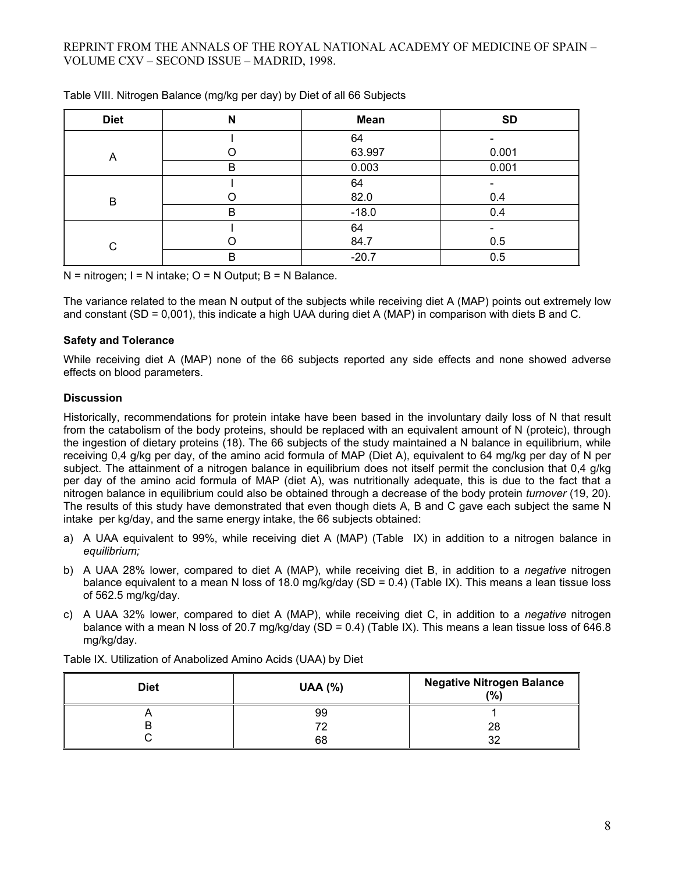| <b>Diet</b> | N | <b>Mean</b> | <b>SD</b> |
|-------------|---|-------------|-----------|
|             |   | 64          |           |
| A           |   | 63.997      | 0.001     |
|             | B | 0.003       | 0.001     |
|             |   | 64          |           |
| B           |   | 82.0        | 0.4       |
|             | B | $-18.0$     | 0.4       |
|             |   | 64          |           |
| $\Omega$    |   | 84.7        | 0.5       |
|             | B | $-20.7$     | 0.5       |

Table VIII. Nitrogen Balance (mg/kg per day) by Diet of all 66 Subjects

 $N =$  nitrogen;  $I = N$  intake;  $O = N$  Output;  $B = N$  Balance.

The variance related to the mean N output of the subjects while receiving diet A (MAP) points out extremely low and constant (SD =  $0.001$ ), this indicate a high UAA during diet A (MAP) in comparison with diets B and C.

#### **Safety and Tolerance**

While receiving diet A (MAP) none of the 66 subjects reported any side effects and none showed adverse effects on blood parameters.

#### **Discussion**

Historically, recommendations for protein intake have been based in the involuntary daily loss of N that result from the catabolism of the body proteins, should be replaced with an equivalent amount of N (proteic), through the ingestion of dietary proteins (18). The 66 subjects of the study maintained a N balance in equilibrium, while receiving 0,4 g/kg per day, of the amino acid formula of MAP (Diet A), equivalent to 64 mg/kg per day of N per subject. The attainment of a nitrogen balance in equilibrium does not itself permit the conclusion that 0,4 g/kg per day of the amino acid formula of MAP (diet A), was nutritionally adequate, this is due to the fact that a nitrogen balance in equilibrium could also be obtained through a decrease of the body protein *turnover* (19, 20). The results of this study have demonstrated that even though diets A, B and C gave each subject the same N intake per kg/day, and the same energy intake, the 66 subjects obtained:

- a) A UAA equivalent to 99%, while receiving diet A (MAP) (Table IX) in addition to a nitrogen balance in *equilibrium;*
- b) A UAA 28% lower, compared to diet A (MAP), while receiving diet B, in addition to a *negative* nitrogen balance equivalent to a mean N loss of 18.0 mg/kg/day (SD = 0.4) (Table IX). This means a lean tissue loss of 562.5 mg/kg/day.
- c) A UAA 32% lower, compared to diet A (MAP), while receiving diet C, in addition to a *negative* nitrogen balance with a mean N loss of 20.7 mg/kg/day (SD = 0.4) (Table IX). This means a lean tissue loss of 646.8 mg/kg/day.

| <b>Diet</b> | <b>UAA (%)</b> | <b>Negative Nitrogen Balance</b><br>(%) |
|-------------|----------------|-----------------------------------------|
|             | 99             |                                         |
|             |                | 28                                      |
|             | 68             | າາ                                      |

Table IX. Utilization of Anabolized Amino Acids (UAA) by Diet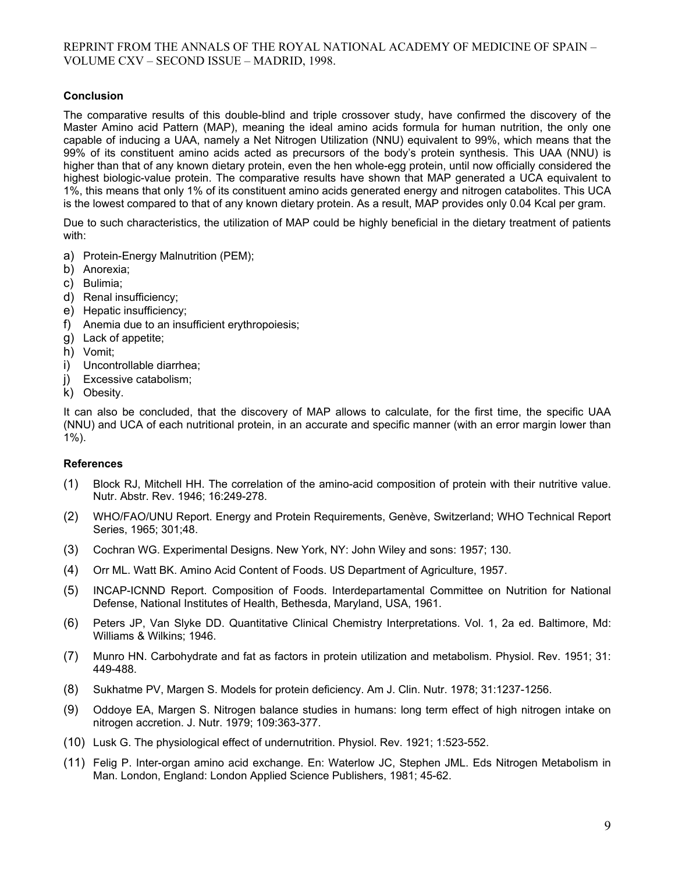# **Conclusion**

The comparative results of this double-blind and triple crossover study, have confirmed the discovery of the Master Amino acid Pattern (MAP), meaning the ideal amino acids formula for human nutrition, the only one capable of inducing a UAA, namely a Net Nitrogen Utilization (NNU) equivalent to 99%, which means that the 99% of its constituent amino acids acted as precursors of the body's protein synthesis. This UAA (NNU) is higher than that of any known dietary protein, even the hen whole-egg protein, until now officially considered the highest biologic-value protein. The comparative results have shown that MAP generated a UCA equivalent to 1%, this means that only 1% of its constituent amino acids generated energy and nitrogen catabolites. This UCA is the lowest compared to that of any known dietary protein. As a result, MAP provides only 0.04 Kcal per gram.

Due to such characteristics, the utilization of MAP could be highly beneficial in the dietary treatment of patients with:

- a) Protein-Energy Malnutrition (PEM);
- b) Anorexia;
- c) Bulimia;
- d) Renal insufficiency;
- e) Hepatic insufficiency;
- f) Anemia due to an insufficient erythropoiesis;
- g) Lack of appetite;
- h) Vomit;
- i) Uncontrollable diarrhea;
- j) Excessive catabolism;
- k) Obesity.

It can also be concluded, that the discovery of MAP allows to calculate, for the first time, the specific UAA (NNU) and UCA of each nutritional protein, in an accurate and specific manner (with an error margin lower than 1%).

#### **References**

- (1) Block RJ, Mitchell HH. The correlation of the amino-acid composition of protein with their nutritive value. Nutr. Abstr. Rev. 1946; 16:249-278.
- (2) WHO/FAO/UNU Report. Energy and Protein Requirements, Genève, Switzerland; WHO Technical Report Series, 1965; 301;48.
- (3) Cochran WG. Experimental Designs. New York, NY: John Wiley and sons: 1957; 130.
- (4) Orr ML. Watt BK. Amino Acid Content of Foods. US Department of Agriculture, 1957.
- (5) INCAP-ICNND Report. Composition of Foods. Interdepartamental Committee on Nutrition for National Defense, National Institutes of Health, Bethesda, Maryland, USA, 1961.
- (6) Peters JP, Van Slyke DD. Quantitative Clinical Chemistry Interpretations. Vol. 1, 2a ed. Baltimore, Md: Williams & Wilkins; 1946.
- (7) Munro HN. Carbohydrate and fat as factors in protein utilization and metabolism. Physiol. Rev. 1951; 31: 449-488.
- (8) Sukhatme PV, Margen S. Models for protein deficiency. Am J. Clin. Nutr. 1978; 31:1237-1256.
- (9) Oddoye EA, Margen S. Nitrogen balance studies in humans: long term effect of high nitrogen intake on nitrogen accretion. J. Nutr. 1979; 109:363-377.
- (10) Lusk G. The physiological effect of undernutrition. Physiol. Rev. 1921; 1:523-552.
- (11) Felig P. Inter-organ amino acid exchange. En: Waterlow JC, Stephen JML. Eds Nitrogen Metabolism in Man. London, England: London Applied Science Publishers, 1981; 45-62.